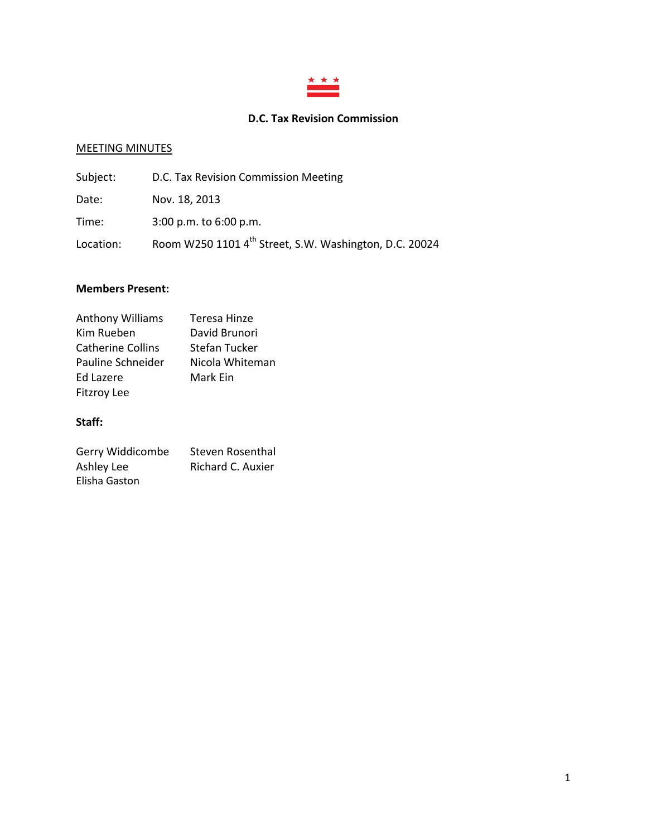

# **D.C. Tax Revision Commission**

# MEETING MINUTES

| Subject:  | D.C. Tax Revision Commission Meeting                               |
|-----------|--------------------------------------------------------------------|
| Date:     | Nov. 18, 2013                                                      |
| Time:     | $3:00$ p.m. to $6:00$ p.m.                                         |
| Location: | Room W250 1101 4 <sup>th</sup> Street, S.W. Washington, D.C. 20024 |

#### **Members Present:**

| <b>Anthony Williams</b>  | Teresa Hinze    |
|--------------------------|-----------------|
| Kim Rueben               | David Brunori   |
| <b>Catherine Collins</b> | Stefan Tucker   |
| Pauline Schneider        | Nicola Whiteman |
| Ed Lazere                | Mark Ein        |
| <b>Fitzroy Lee</b>       |                 |

## **Staff:**

| Gerry Widdicombe | Steven Rosenthal  |
|------------------|-------------------|
| Ashley Lee       | Richard C. Auxier |
| Elisha Gaston    |                   |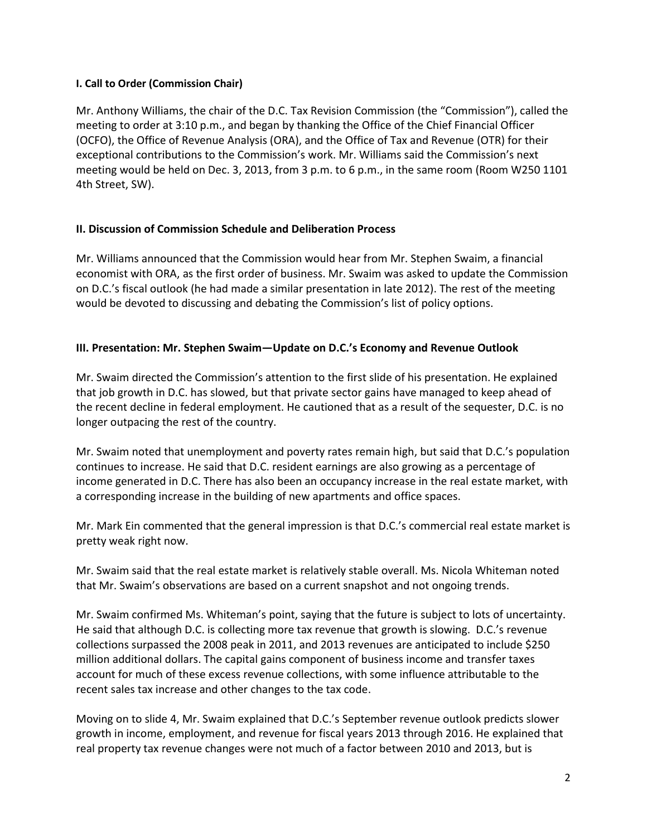### **I. Call to Order (Commission Chair)**

Mr. Anthony Williams, the chair of the D.C. Tax Revision Commission (the "Commission"), called the meeting to order at 3:10 p.m., and began by thanking the Office of the Chief Financial Officer (OCFO), the Office of Revenue Analysis (ORA), and the Office of Tax and Revenue (OTR) for their exceptional contributions to the Commission's work. Mr. Williams said the Commission's next meeting would be held on Dec. 3, 2013, from 3 p.m. to 6 p.m., in the same room (Room W250 1101 4th Street, SW).

# **II. Discussion of Commission Schedule and Deliberation Process**

Mr. Williams announced that the Commission would hear from Mr. Stephen Swaim, a financial economist with ORA, as the first order of business. Mr. Swaim was asked to update the Commission on D.C.'s fiscal outlook (he had made a similar presentation in late 2012). The rest of the meeting would be devoted to discussing and debating the Commission's list of policy options.

# **III. Presentation: Mr. Stephen Swaim—Update on D.C.'s Economy and Revenue Outlook**

Mr. Swaim directed the Commission's attention to the first slide of his presentation. He explained that job growth in D.C. has slowed, but that private sector gains have managed to keep ahead of the recent decline in federal employment. He cautioned that as a result of the sequester, D.C. is no longer outpacing the rest of the country.

Mr. Swaim noted that unemployment and poverty rates remain high, but said that D.C.'s population continues to increase. He said that D.C. resident earnings are also growing as a percentage of income generated in D.C. There has also been an occupancy increase in the real estate market, with a corresponding increase in the building of new apartments and office spaces.

Mr. Mark Ein commented that the general impression is that D.C.'s commercial real estate market is pretty weak right now.

Mr. Swaim said that the real estate market is relatively stable overall. Ms. Nicola Whiteman noted that Mr. Swaim's observations are based on a current snapshot and not ongoing trends.

Mr. Swaim confirmed Ms. Whiteman's point, saying that the future is subject to lots of uncertainty. He said that although D.C. is collecting more tax revenue that growth is slowing. D.C.'s revenue collections surpassed the 2008 peak in 2011, and 2013 revenues are anticipated to include \$250 million additional dollars. The capital gains component of business income and transfer taxes account for much of these excess revenue collections, with some influence attributable to the recent sales tax increase and other changes to the tax code.

Moving on to slide 4, Mr. Swaim explained that D.C.'s September revenue outlook predicts slower growth in income, employment, and revenue for fiscal years 2013 through 2016. He explained that real property tax revenue changes were not much of a factor between 2010 and 2013, but is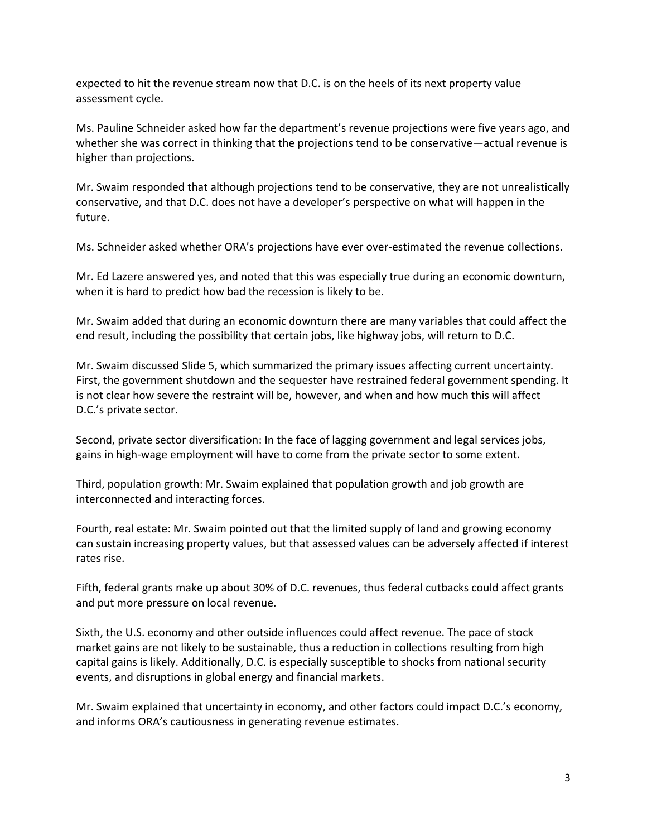expected to hit the revenue stream now that D.C. is on the heels of its next property value assessment cycle.

Ms. Pauline Schneider asked how far the department's revenue projections were five years ago, and whether she was correct in thinking that the projections tend to be conservative—actual revenue is higher than projections.

Mr. Swaim responded that although projections tend to be conservative, they are not unrealistically conservative, and that D.C. does not have a developer's perspective on what will happen in the future.

Ms. Schneider asked whether ORA's projections have ever over-estimated the revenue collections.

Mr. Ed Lazere answered yes, and noted that this was especially true during an economic downturn, when it is hard to predict how bad the recession is likely to be.

Mr. Swaim added that during an economic downturn there are many variables that could affect the end result, including the possibility that certain jobs, like highway jobs, will return to D.C.

Mr. Swaim discussed Slide 5, which summarized the primary issues affecting current uncertainty. First, the government shutdown and the sequester have restrained federal government spending. It is not clear how severe the restraint will be, however, and when and how much this will affect D.C.'s private sector.

Second, private sector diversification: In the face of lagging government and legal services jobs, gains in high-wage employment will have to come from the private sector to some extent.

Third, population growth: Mr. Swaim explained that population growth and job growth are interconnected and interacting forces.

Fourth, real estate: Mr. Swaim pointed out that the limited supply of land and growing economy can sustain increasing property values, but that assessed values can be adversely affected if interest rates rise.

Fifth, federal grants make up about 30% of D.C. revenues, thus federal cutbacks could affect grants and put more pressure on local revenue.

Sixth, the U.S. economy and other outside influences could affect revenue. The pace of stock market gains are not likely to be sustainable, thus a reduction in collections resulting from high capital gains is likely. Additionally, D.C. is especially susceptible to shocks from national security events, and disruptions in global energy and financial markets.

Mr. Swaim explained that uncertainty in economy, and other factors could impact D.C.'s economy, and informs ORA's cautiousness in generating revenue estimates.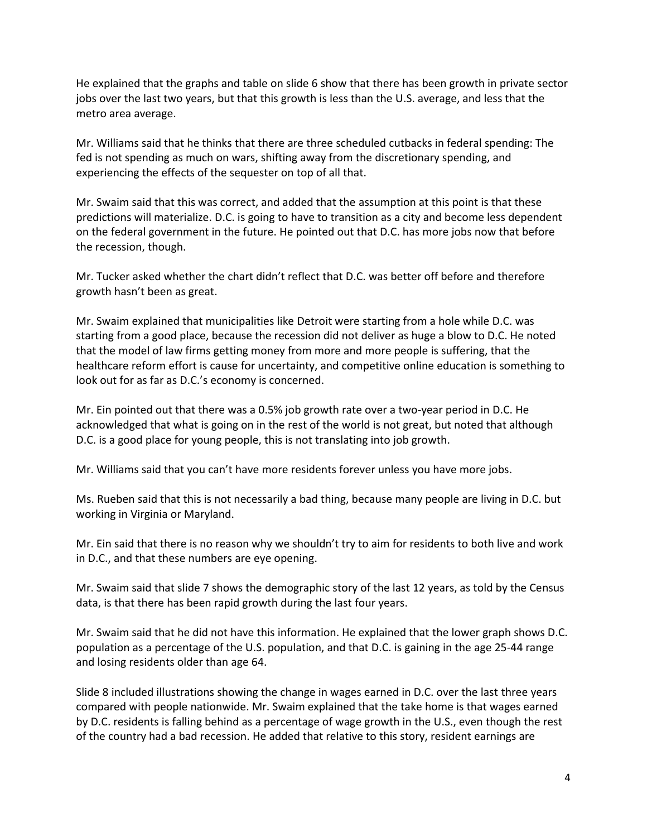He explained that the graphs and table on slide 6 show that there has been growth in private sector jobs over the last two years, but that this growth is less than the U.S. average, and less that the metro area average.

Mr. Williams said that he thinks that there are three scheduled cutbacks in federal spending: The fed is not spending as much on wars, shifting away from the discretionary spending, and experiencing the effects of the sequester on top of all that.

Mr. Swaim said that this was correct, and added that the assumption at this point is that these predictions will materialize. D.C. is going to have to transition as a city and become less dependent on the federal government in the future. He pointed out that D.C. has more jobs now that before the recession, though.

Mr. Tucker asked whether the chart didn't reflect that D.C. was better off before and therefore growth hasn't been as great.

Mr. Swaim explained that municipalities like Detroit were starting from a hole while D.C. was starting from a good place, because the recession did not deliver as huge a blow to D.C. He noted that the model of law firms getting money from more and more people is suffering, that the healthcare reform effort is cause for uncertainty, and competitive online education is something to look out for as far as D.C.'s economy is concerned.

Mr. Ein pointed out that there was a 0.5% job growth rate over a two-year period in D.C. He acknowledged that what is going on in the rest of the world is not great, but noted that although D.C. is a good place for young people, this is not translating into job growth.

Mr. Williams said that you can't have more residents forever unless you have more jobs.

Ms. Rueben said that this is not necessarily a bad thing, because many people are living in D.C. but working in Virginia or Maryland.

Mr. Ein said that there is no reason why we shouldn't try to aim for residents to both live and work in D.C., and that these numbers are eye opening.

Mr. Swaim said that slide 7 shows the demographic story of the last 12 years, as told by the Census data, is that there has been rapid growth during the last four years.

Mr. Swaim said that he did not have this information. He explained that the lower graph shows D.C. population as a percentage of the U.S. population, and that D.C. is gaining in the age 25-44 range and losing residents older than age 64.

Slide 8 included illustrations showing the change in wages earned in D.C. over the last three years compared with people nationwide. Mr. Swaim explained that the take home is that wages earned by D.C. residents is falling behind as a percentage of wage growth in the U.S., even though the rest of the country had a bad recession. He added that relative to this story, resident earnings are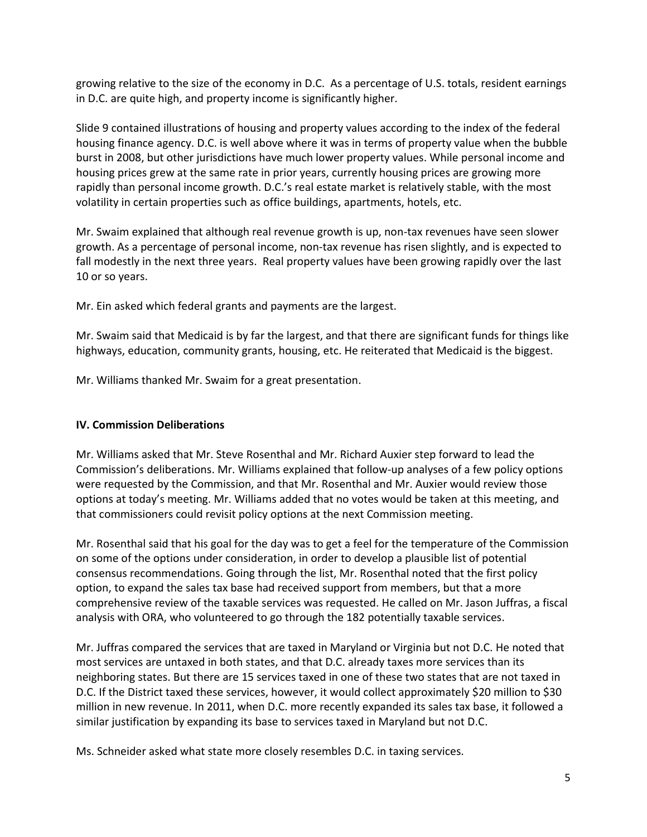growing relative to the size of the economy in D.C. As a percentage of U.S. totals, resident earnings in D.C. are quite high, and property income is significantly higher.

Slide 9 contained illustrations of housing and property values according to the index of the federal housing finance agency. D.C. is well above where it was in terms of property value when the bubble burst in 2008, but other jurisdictions have much lower property values. While personal income and housing prices grew at the same rate in prior years, currently housing prices are growing more rapidly than personal income growth. D.C.'s real estate market is relatively stable, with the most volatility in certain properties such as office buildings, apartments, hotels, etc.

Mr. Swaim explained that although real revenue growth is up, non-tax revenues have seen slower growth. As a percentage of personal income, non-tax revenue has risen slightly, and is expected to fall modestly in the next three years. Real property values have been growing rapidly over the last 10 or so years.

Mr. Ein asked which federal grants and payments are the largest.

Mr. Swaim said that Medicaid is by far the largest, and that there are significant funds for things like highways, education, community grants, housing, etc. He reiterated that Medicaid is the biggest.

Mr. Williams thanked Mr. Swaim for a great presentation.

### **IV. Commission Deliberations**

Mr. Williams asked that Mr. Steve Rosenthal and Mr. Richard Auxier step forward to lead the Commission's deliberations. Mr. Williams explained that follow-up analyses of a few policy options were requested by the Commission, and that Mr. Rosenthal and Mr. Auxier would review those options at today's meeting. Mr. Williams added that no votes would be taken at this meeting, and that commissioners could revisit policy options at the next Commission meeting.

Mr. Rosenthal said that his goal for the day was to get a feel for the temperature of the Commission on some of the options under consideration, in order to develop a plausible list of potential consensus recommendations. Going through the list, Mr. Rosenthal noted that the first policy option, to expand the sales tax base had received support from members, but that a more comprehensive review of the taxable services was requested. He called on Mr. Jason Juffras, a fiscal analysis with ORA, who volunteered to go through the 182 potentially taxable services.

Mr. Juffras compared the services that are taxed in Maryland or Virginia but not D.C. He noted that most services are untaxed in both states, and that D.C. already taxes more services than its neighboring states. But there are 15 services taxed in one of these two states that are not taxed in D.C. If the District taxed these services, however, it would collect approximately \$20 million to \$30 million in new revenue. In 2011, when D.C. more recently expanded its sales tax base, it followed a similar justification by expanding its base to services taxed in Maryland but not D.C.

Ms. Schneider asked what state more closely resembles D.C. in taxing services.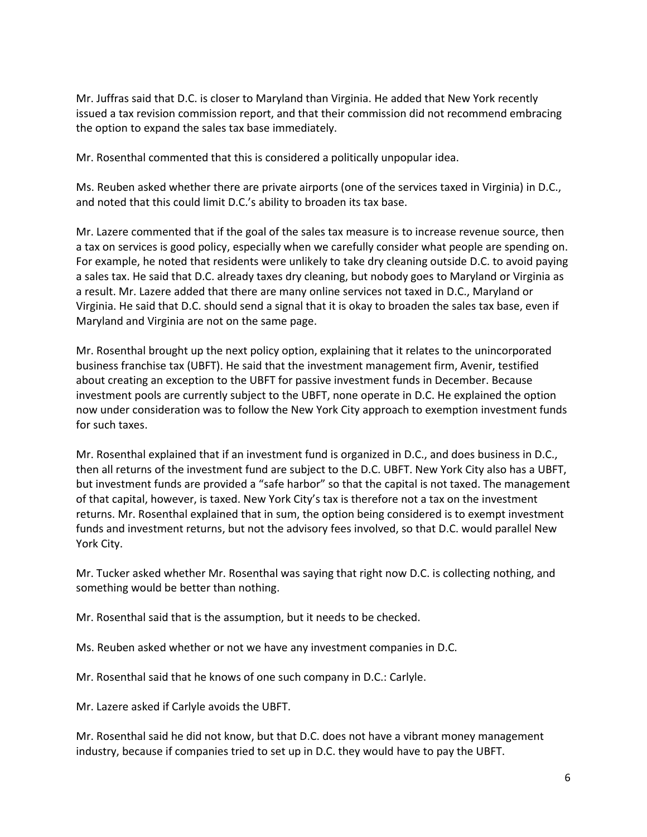Mr. Juffras said that D.C. is closer to Maryland than Virginia. He added that New York recently issued a tax revision commission report, and that their commission did not recommend embracing the option to expand the sales tax base immediately.

Mr. Rosenthal commented that this is considered a politically unpopular idea.

Ms. Reuben asked whether there are private airports (one of the services taxed in Virginia) in D.C., and noted that this could limit D.C.'s ability to broaden its tax base.

Mr. Lazere commented that if the goal of the sales tax measure is to increase revenue source, then a tax on services is good policy, especially when we carefully consider what people are spending on. For example, he noted that residents were unlikely to take dry cleaning outside D.C. to avoid paying a sales tax. He said that D.C. already taxes dry cleaning, but nobody goes to Maryland or Virginia as a result. Mr. Lazere added that there are many online services not taxed in D.C., Maryland or Virginia. He said that D.C. should send a signal that it is okay to broaden the sales tax base, even if Maryland and Virginia are not on the same page.

Mr. Rosenthal brought up the next policy option, explaining that it relates to the unincorporated business franchise tax (UBFT). He said that the investment management firm, Avenir, testified about creating an exception to the UBFT for passive investment funds in December. Because investment pools are currently subject to the UBFT, none operate in D.C. He explained the option now under consideration was to follow the New York City approach to exemption investment funds for such taxes.

Mr. Rosenthal explained that if an investment fund is organized in D.C., and does business in D.C., then all returns of the investment fund are subject to the D.C. UBFT. New York City also has a UBFT, but investment funds are provided a "safe harbor" so that the capital is not taxed. The management of that capital, however, is taxed. New York City's tax is therefore not a tax on the investment returns. Mr. Rosenthal explained that in sum, the option being considered is to exempt investment funds and investment returns, but not the advisory fees involved, so that D.C. would parallel New York City.

Mr. Tucker asked whether Mr. Rosenthal was saying that right now D.C. is collecting nothing, and something would be better than nothing.

Mr. Rosenthal said that is the assumption, but it needs to be checked.

Ms. Reuben asked whether or not we have any investment companies in D.C.

Mr. Rosenthal said that he knows of one such company in D.C.: Carlyle.

Mr. Lazere asked if Carlyle avoids the UBFT.

Mr. Rosenthal said he did not know, but that D.C. does not have a vibrant money management industry, because if companies tried to set up in D.C. they would have to pay the UBFT.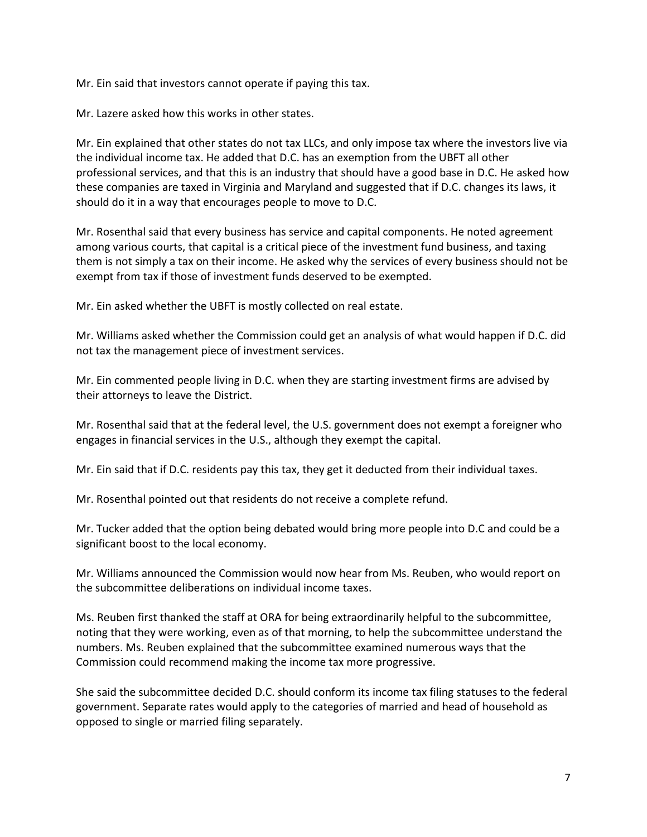Mr. Ein said that investors cannot operate if paying this tax.

Mr. Lazere asked how this works in other states.

Mr. Ein explained that other states do not tax LLCs, and only impose tax where the investors live via the individual income tax. He added that D.C. has an exemption from the UBFT all other professional services, and that this is an industry that should have a good base in D.C. He asked how these companies are taxed in Virginia and Maryland and suggested that if D.C. changes its laws, it should do it in a way that encourages people to move to D.C.

Mr. Rosenthal said that every business has service and capital components. He noted agreement among various courts, that capital is a critical piece of the investment fund business, and taxing them is not simply a tax on their income. He asked why the services of every business should not be exempt from tax if those of investment funds deserved to be exempted.

Mr. Ein asked whether the UBFT is mostly collected on real estate.

Mr. Williams asked whether the Commission could get an analysis of what would happen if D.C. did not tax the management piece of investment services.

Mr. Ein commented people living in D.C. when they are starting investment firms are advised by their attorneys to leave the District.

Mr. Rosenthal said that at the federal level, the U.S. government does not exempt a foreigner who engages in financial services in the U.S., although they exempt the capital.

Mr. Ein said that if D.C. residents pay this tax, they get it deducted from their individual taxes.

Mr. Rosenthal pointed out that residents do not receive a complete refund.

Mr. Tucker added that the option being debated would bring more people into D.C and could be a significant boost to the local economy.

Mr. Williams announced the Commission would now hear from Ms. Reuben, who would report on the subcommittee deliberations on individual income taxes.

Ms. Reuben first thanked the staff at ORA for being extraordinarily helpful to the subcommittee, noting that they were working, even as of that morning, to help the subcommittee understand the numbers. Ms. Reuben explained that the subcommittee examined numerous ways that the Commission could recommend making the income tax more progressive.

She said the subcommittee decided D.C. should conform its income tax filing statuses to the federal government. Separate rates would apply to the categories of married and head of household as opposed to single or married filing separately.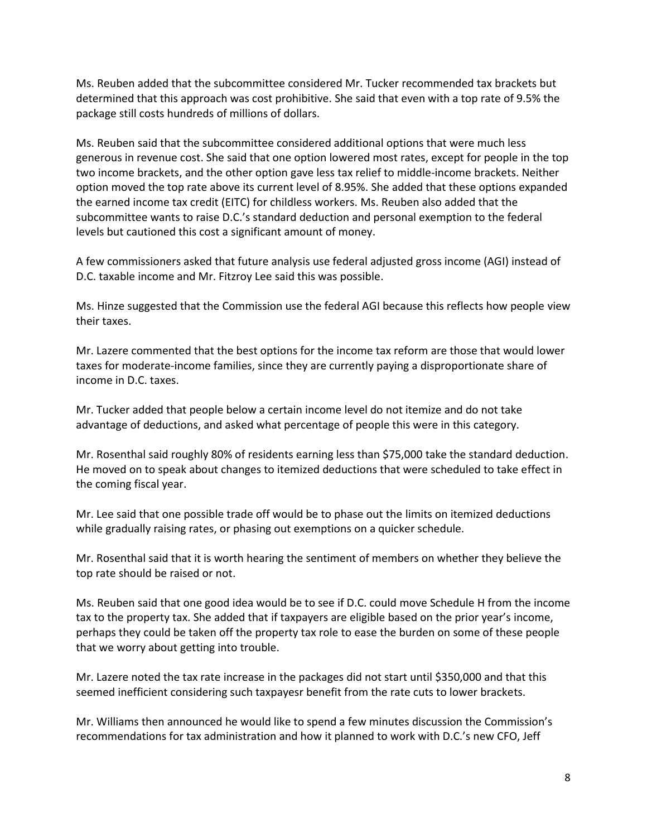Ms. Reuben added that the subcommittee considered Mr. Tucker recommended tax brackets but determined that this approach was cost prohibitive. She said that even with a top rate of 9.5% the package still costs hundreds of millions of dollars.

Ms. Reuben said that the subcommittee considered additional options that were much less generous in revenue cost. She said that one option lowered most rates, except for people in the top two income brackets, and the other option gave less tax relief to middle-income brackets. Neither option moved the top rate above its current level of 8.95%. She added that these options expanded the earned income tax credit (EITC) for childless workers. Ms. Reuben also added that the subcommittee wants to raise D.C.'s standard deduction and personal exemption to the federal levels but cautioned this cost a significant amount of money.

A few commissioners asked that future analysis use federal adjusted gross income (AGI) instead of D.C. taxable income and Mr. Fitzroy Lee said this was possible.

Ms. Hinze suggested that the Commission use the federal AGI because this reflects how people view their taxes.

Mr. Lazere commented that the best options for the income tax reform are those that would lower taxes for moderate-income families, since they are currently paying a disproportionate share of income in D.C. taxes.

Mr. Tucker added that people below a certain income level do not itemize and do not take advantage of deductions, and asked what percentage of people this were in this category.

Mr. Rosenthal said roughly 80% of residents earning less than \$75,000 take the standard deduction. He moved on to speak about changes to itemized deductions that were scheduled to take effect in the coming fiscal year.

Mr. Lee said that one possible trade off would be to phase out the limits on itemized deductions while gradually raising rates, or phasing out exemptions on a quicker schedule.

Mr. Rosenthal said that it is worth hearing the sentiment of members on whether they believe the top rate should be raised or not.

Ms. Reuben said that one good idea would be to see if D.C. could move Schedule H from the income tax to the property tax. She added that if taxpayers are eligible based on the prior year's income, perhaps they could be taken off the property tax role to ease the burden on some of these people that we worry about getting into trouble.

Mr. Lazere noted the tax rate increase in the packages did not start until \$350,000 and that this seemed inefficient considering such taxpayesr benefit from the rate cuts to lower brackets.

Mr. Williams then announced he would like to spend a few minutes discussion the Commission's recommendations for tax administration and how it planned to work with D.C.'s new CFO, Jeff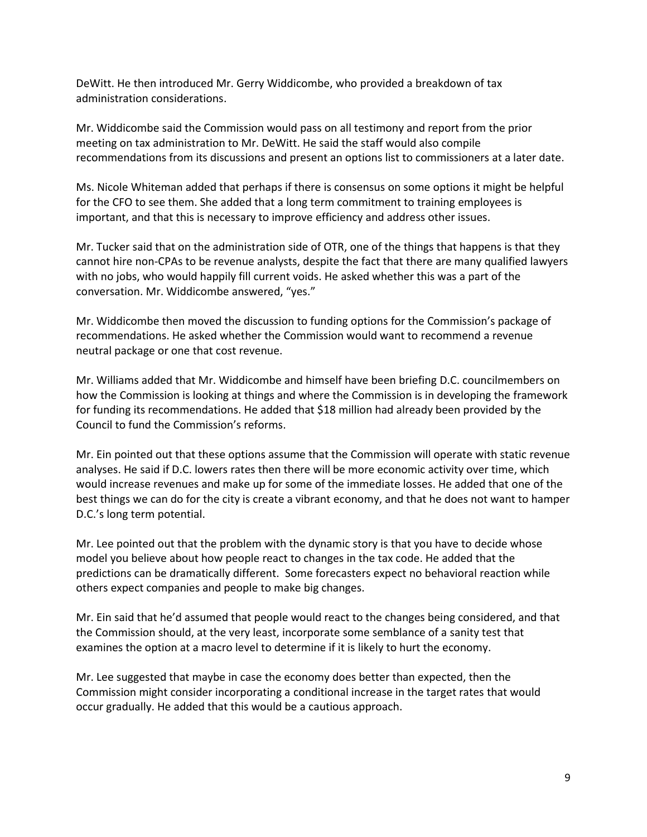DeWitt. He then introduced Mr. Gerry Widdicombe, who provided a breakdown of tax administration considerations.

Mr. Widdicombe said the Commission would pass on all testimony and report from the prior meeting on tax administration to Mr. DeWitt. He said the staff would also compile recommendations from its discussions and present an options list to commissioners at a later date.

Ms. Nicole Whiteman added that perhaps if there is consensus on some options it might be helpful for the CFO to see them. She added that a long term commitment to training employees is important, and that this is necessary to improve efficiency and address other issues.

Mr. Tucker said that on the administration side of OTR, one of the things that happens is that they cannot hire non-CPAs to be revenue analysts, despite the fact that there are many qualified lawyers with no jobs, who would happily fill current voids. He asked whether this was a part of the conversation. Mr. Widdicombe answered, "yes."

Mr. Widdicombe then moved the discussion to funding options for the Commission's package of recommendations. He asked whether the Commission would want to recommend a revenue neutral package or one that cost revenue.

Mr. Williams added that Mr. Widdicombe and himself have been briefing D.C. councilmembers on how the Commission is looking at things and where the Commission is in developing the framework for funding its recommendations. He added that \$18 million had already been provided by the Council to fund the Commission's reforms.

Mr. Ein pointed out that these options assume that the Commission will operate with static revenue analyses. He said if D.C. lowers rates then there will be more economic activity over time, which would increase revenues and make up for some of the immediate losses. He added that one of the best things we can do for the city is create a vibrant economy, and that he does not want to hamper D.C.'s long term potential.

Mr. Lee pointed out that the problem with the dynamic story is that you have to decide whose model you believe about how people react to changes in the tax code. He added that the predictions can be dramatically different. Some forecasters expect no behavioral reaction while others expect companies and people to make big changes.

Mr. Ein said that he'd assumed that people would react to the changes being considered, and that the Commission should, at the very least, incorporate some semblance of a sanity test that examines the option at a macro level to determine if it is likely to hurt the economy.

Mr. Lee suggested that maybe in case the economy does better than expected, then the Commission might consider incorporating a conditional increase in the target rates that would occur gradually. He added that this would be a cautious approach.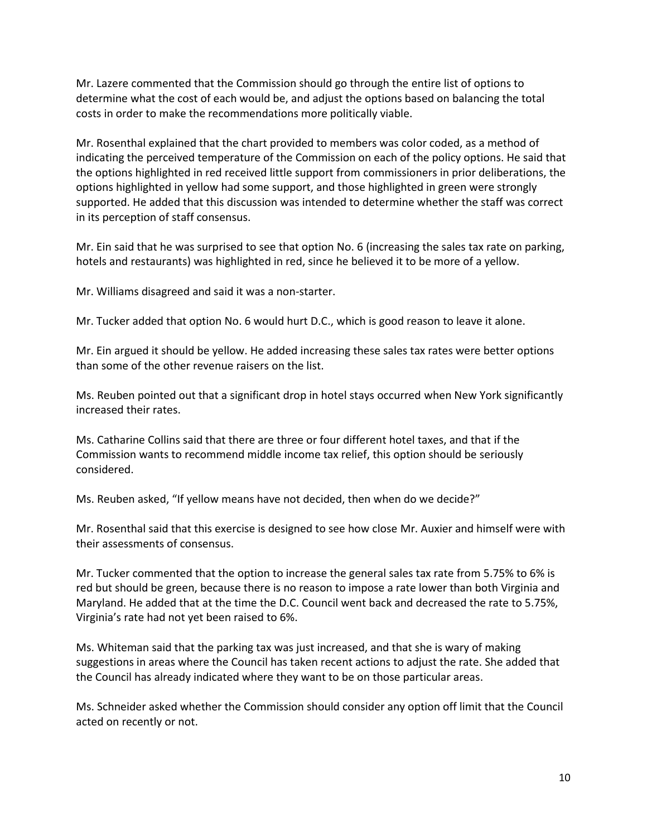Mr. Lazere commented that the Commission should go through the entire list of options to determine what the cost of each would be, and adjust the options based on balancing the total costs in order to make the recommendations more politically viable.

Mr. Rosenthal explained that the chart provided to members was color coded, as a method of indicating the perceived temperature of the Commission on each of the policy options. He said that the options highlighted in red received little support from commissioners in prior deliberations, the options highlighted in yellow had some support, and those highlighted in green were strongly supported. He added that this discussion was intended to determine whether the staff was correct in its perception of staff consensus.

Mr. Ein said that he was surprised to see that option No. 6 (increasing the sales tax rate on parking, hotels and restaurants) was highlighted in red, since he believed it to be more of a yellow.

Mr. Williams disagreed and said it was a non-starter.

Mr. Tucker added that option No. 6 would hurt D.C., which is good reason to leave it alone.

Mr. Ein argued it should be yellow. He added increasing these sales tax rates were better options than some of the other revenue raisers on the list.

Ms. Reuben pointed out that a significant drop in hotel stays occurred when New York significantly increased their rates.

Ms. Catharine Collins said that there are three or four different hotel taxes, and that if the Commission wants to recommend middle income tax relief, this option should be seriously considered.

Ms. Reuben asked, "If yellow means have not decided, then when do we decide?"

Mr. Rosenthal said that this exercise is designed to see how close Mr. Auxier and himself were with their assessments of consensus.

Mr. Tucker commented that the option to increase the general sales tax rate from 5.75% to 6% is red but should be green, because there is no reason to impose a rate lower than both Virginia and Maryland. He added that at the time the D.C. Council went back and decreased the rate to 5.75%, Virginia's rate had not yet been raised to 6%.

Ms. Whiteman said that the parking tax was just increased, and that she is wary of making suggestions in areas where the Council has taken recent actions to adjust the rate. She added that the Council has already indicated where they want to be on those particular areas.

Ms. Schneider asked whether the Commission should consider any option off limit that the Council acted on recently or not.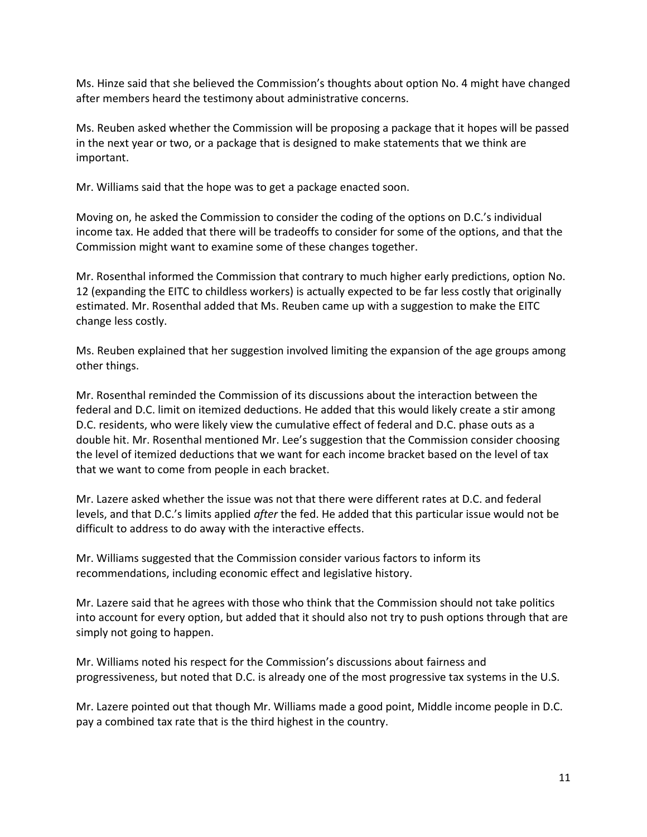Ms. Hinze said that she believed the Commission's thoughts about option No. 4 might have changed after members heard the testimony about administrative concerns.

Ms. Reuben asked whether the Commission will be proposing a package that it hopes will be passed in the next year or two, or a package that is designed to make statements that we think are important.

Mr. Williams said that the hope was to get a package enacted soon.

Moving on, he asked the Commission to consider the coding of the options on D.C.'s individual income tax. He added that there will be tradeoffs to consider for some of the options, and that the Commission might want to examine some of these changes together.

Mr. Rosenthal informed the Commission that contrary to much higher early predictions, option No. 12 (expanding the EITC to childless workers) is actually expected to be far less costly that originally estimated. Mr. Rosenthal added that Ms. Reuben came up with a suggestion to make the EITC change less costly.

Ms. Reuben explained that her suggestion involved limiting the expansion of the age groups among other things.

Mr. Rosenthal reminded the Commission of its discussions about the interaction between the federal and D.C. limit on itemized deductions. He added that this would likely create a stir among D.C. residents, who were likely view the cumulative effect of federal and D.C. phase outs as a double hit. Mr. Rosenthal mentioned Mr. Lee's suggestion that the Commission consider choosing the level of itemized deductions that we want for each income bracket based on the level of tax that we want to come from people in each bracket.

Mr. Lazere asked whether the issue was not that there were different rates at D.C. and federal levels, and that D.C.'s limits applied *after* the fed. He added that this particular issue would not be difficult to address to do away with the interactive effects.

Mr. Williams suggested that the Commission consider various factors to inform its recommendations, including economic effect and legislative history.

Mr. Lazere said that he agrees with those who think that the Commission should not take politics into account for every option, but added that it should also not try to push options through that are simply not going to happen.

Mr. Williams noted his respect for the Commission's discussions about fairness and progressiveness, but noted that D.C. is already one of the most progressive tax systems in the U.S.

Mr. Lazere pointed out that though Mr. Williams made a good point, Middle income people in D.C. pay a combined tax rate that is the third highest in the country.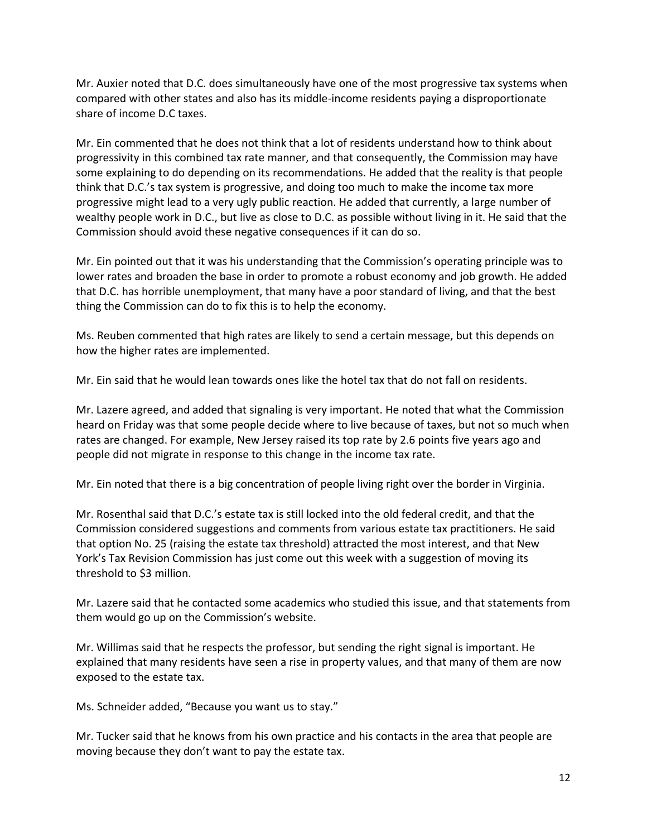Mr. Auxier noted that D.C. does simultaneously have one of the most progressive tax systems when compared with other states and also has its middle-income residents paying a disproportionate share of income D.C taxes.

Mr. Ein commented that he does not think that a lot of residents understand how to think about progressivity in this combined tax rate manner, and that consequently, the Commission may have some explaining to do depending on its recommendations. He added that the reality is that people think that D.C.'s tax system is progressive, and doing too much to make the income tax more progressive might lead to a very ugly public reaction. He added that currently, a large number of wealthy people work in D.C., but live as close to D.C. as possible without living in it. He said that the Commission should avoid these negative consequences if it can do so.

Mr. Ein pointed out that it was his understanding that the Commission's operating principle was to lower rates and broaden the base in order to promote a robust economy and job growth. He added that D.C. has horrible unemployment, that many have a poor standard of living, and that the best thing the Commission can do to fix this is to help the economy.

Ms. Reuben commented that high rates are likely to send a certain message, but this depends on how the higher rates are implemented.

Mr. Ein said that he would lean towards ones like the hotel tax that do not fall on residents.

Mr. Lazere agreed, and added that signaling is very important. He noted that what the Commission heard on Friday was that some people decide where to live because of taxes, but not so much when rates are changed. For example, New Jersey raised its top rate by 2.6 points five years ago and people did not migrate in response to this change in the income tax rate.

Mr. Ein noted that there is a big concentration of people living right over the border in Virginia.

Mr. Rosenthal said that D.C.'s estate tax is still locked into the old federal credit, and that the Commission considered suggestions and comments from various estate tax practitioners. He said that option No. 25 (raising the estate tax threshold) attracted the most interest, and that New York's Tax Revision Commission has just come out this week with a suggestion of moving its threshold to \$3 million.

Mr. Lazere said that he contacted some academics who studied this issue, and that statements from them would go up on the Commission's website.

Mr. Willimas said that he respects the professor, but sending the right signal is important. He explained that many residents have seen a rise in property values, and that many of them are now exposed to the estate tax.

Ms. Schneider added, "Because you want us to stay."

Mr. Tucker said that he knows from his own practice and his contacts in the area that people are moving because they don't want to pay the estate tax.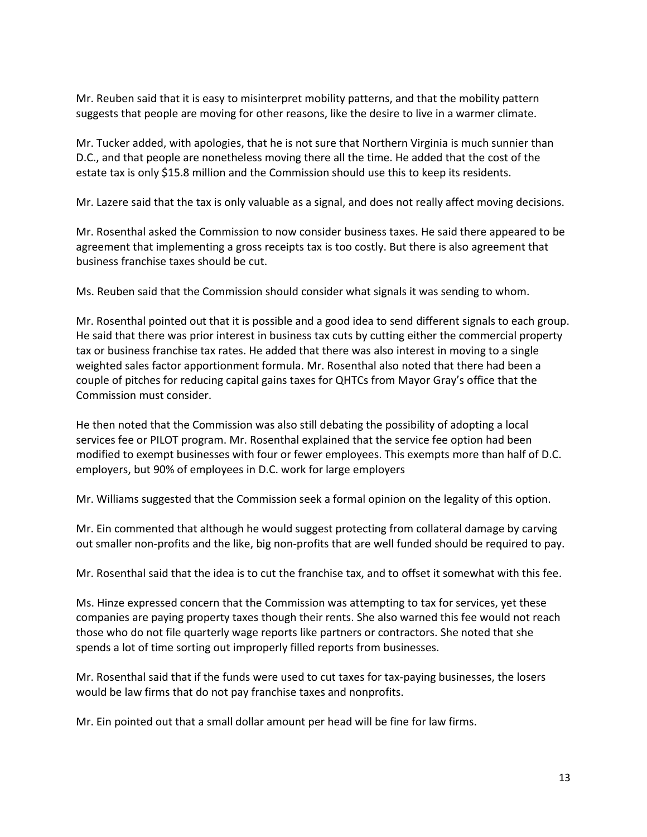Mr. Reuben said that it is easy to misinterpret mobility patterns, and that the mobility pattern suggests that people are moving for other reasons, like the desire to live in a warmer climate.

Mr. Tucker added, with apologies, that he is not sure that Northern Virginia is much sunnier than D.C., and that people are nonetheless moving there all the time. He added that the cost of the estate tax is only \$15.8 million and the Commission should use this to keep its residents.

Mr. Lazere said that the tax is only valuable as a signal, and does not really affect moving decisions.

Mr. Rosenthal asked the Commission to now consider business taxes. He said there appeared to be agreement that implementing a gross receipts tax is too costly. But there is also agreement that business franchise taxes should be cut.

Ms. Reuben said that the Commission should consider what signals it was sending to whom.

Mr. Rosenthal pointed out that it is possible and a good idea to send different signals to each group. He said that there was prior interest in business tax cuts by cutting either the commercial property tax or business franchise tax rates. He added that there was also interest in moving to a single weighted sales factor apportionment formula. Mr. Rosenthal also noted that there had been a couple of pitches for reducing capital gains taxes for QHTCs from Mayor Gray's office that the Commission must consider.

He then noted that the Commission was also still debating the possibility of adopting a local services fee or PILOT program. Mr. Rosenthal explained that the service fee option had been modified to exempt businesses with four or fewer employees. This exempts more than half of D.C. employers, but 90% of employees in D.C. work for large employers

Mr. Williams suggested that the Commission seek a formal opinion on the legality of this option.

Mr. Ein commented that although he would suggest protecting from collateral damage by carving out smaller non-profits and the like, big non-profits that are well funded should be required to pay.

Mr. Rosenthal said that the idea is to cut the franchise tax, and to offset it somewhat with this fee.

Ms. Hinze expressed concern that the Commission was attempting to tax for services, yet these companies are paying property taxes though their rents. She also warned this fee would not reach those who do not file quarterly wage reports like partners or contractors. She noted that she spends a lot of time sorting out improperly filled reports from businesses.

Mr. Rosenthal said that if the funds were used to cut taxes for tax-paying businesses, the losers would be law firms that do not pay franchise taxes and nonprofits.

Mr. Ein pointed out that a small dollar amount per head will be fine for law firms.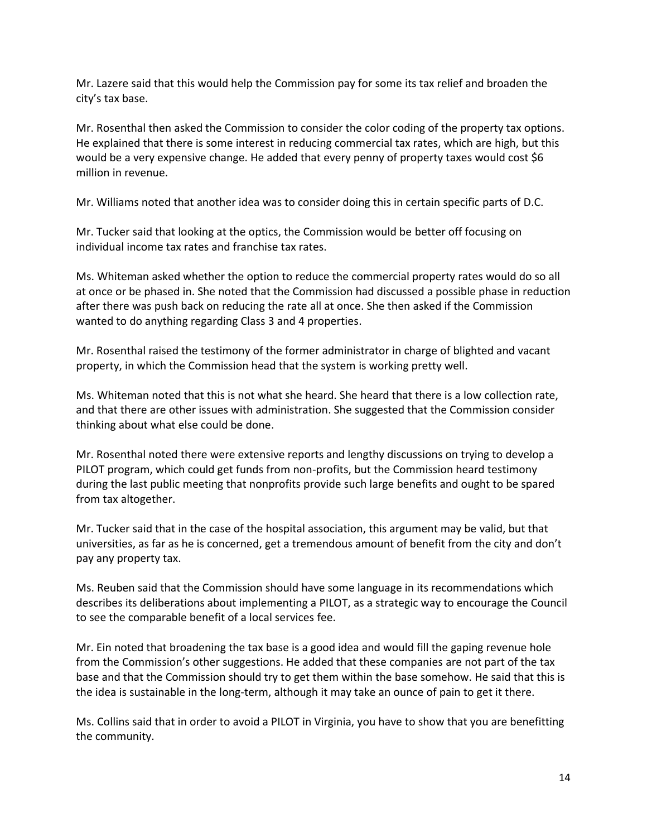Mr. Lazere said that this would help the Commission pay for some its tax relief and broaden the city's tax base.

Mr. Rosenthal then asked the Commission to consider the color coding of the property tax options. He explained that there is some interest in reducing commercial tax rates, which are high, but this would be a very expensive change. He added that every penny of property taxes would cost \$6 million in revenue.

Mr. Williams noted that another idea was to consider doing this in certain specific parts of D.C.

Mr. Tucker said that looking at the optics, the Commission would be better off focusing on individual income tax rates and franchise tax rates.

Ms. Whiteman asked whether the option to reduce the commercial property rates would do so all at once or be phased in. She noted that the Commission had discussed a possible phase in reduction after there was push back on reducing the rate all at once. She then asked if the Commission wanted to do anything regarding Class 3 and 4 properties.

Mr. Rosenthal raised the testimony of the former administrator in charge of blighted and vacant property, in which the Commission head that the system is working pretty well.

Ms. Whiteman noted that this is not what she heard. She heard that there is a low collection rate, and that there are other issues with administration. She suggested that the Commission consider thinking about what else could be done.

Mr. Rosenthal noted there were extensive reports and lengthy discussions on trying to develop a PILOT program, which could get funds from non-profits, but the Commission heard testimony during the last public meeting that nonprofits provide such large benefits and ought to be spared from tax altogether.

Mr. Tucker said that in the case of the hospital association, this argument may be valid, but that universities, as far as he is concerned, get a tremendous amount of benefit from the city and don't pay any property tax.

Ms. Reuben said that the Commission should have some language in its recommendations which describes its deliberations about implementing a PILOT, as a strategic way to encourage the Council to see the comparable benefit of a local services fee.

Mr. Ein noted that broadening the tax base is a good idea and would fill the gaping revenue hole from the Commission's other suggestions. He added that these companies are not part of the tax base and that the Commission should try to get them within the base somehow. He said that this is the idea is sustainable in the long-term, although it may take an ounce of pain to get it there.

Ms. Collins said that in order to avoid a PILOT in Virginia, you have to show that you are benefitting the community.